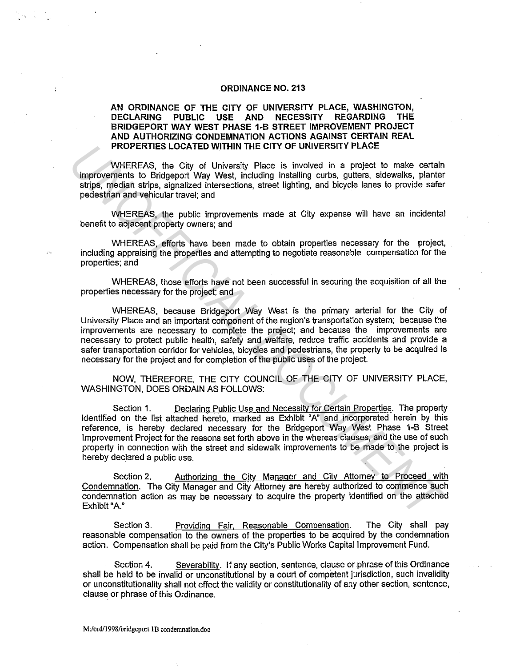## **ORDINANCE NO. 213**

# **AN ORDINANCE OF THE CITY OF UNIVERSITY PLACE, WASHINGTON, DECLARING PUBLIC USE AND NECESSITY REGARDING THE BRIDGEPORT WAY WEST PHASE 1-B STREET IMPROVEMENT PROJECT AND AUTHORIZING CONDEMNATION ACTIONS AGAINST CERTAIN REAL PROPERTIES LOCATED WITHIN THE CITY OF UNIVERSITY PLACE**

WHEREAS, the City of University Place is involved in a project to make certain improvements to Bridgeport Way West, including installing curbs, gutters, sidewalks, planter strips, median strips, signalized intersections, street lighting, and bicycle lanes to provide safer pedestrian and vehicular travel; and

WHEREAS, the public improvements made at City expense will have an incidental benefit to adjacent property owners; and

WHEREAS, efforts have been made to obtain properties necessary for the project, including appraising the properties and attempting to negotiate reasonable compensation for the properties; and

WHEREAS, those efforts have not been successful in securing the acquisition of all the properties necessary for the project; and

WHEREAS, because Bridgeport Way West is the primary arterial for the City of University Place and an important component of the region's transportation system; because the improvements are necessary to complete the project; and because the improvements are necessary to protect public health, safety and welfare, reduce traffic accidents and provide a safer transportation corridor for vehicles, bicycles and pedestrians, the property to be acquired is necessary for the project and for completion of the public uses of the project. **PROPERTIES LOCATED WITHIN THE CITY OF UNIVERSITY PLACE**<br>
WHEREAS, the City of University Places is involved in a project to make contain<br>
improvements to Bridgeport Way West, including installing curies, eighters, eideval

NOW, THEREFORE, **THE** CITY COUNCIL OF THE CITY OF UNIVERSITY PLACE, WASHINGTON, DOES ORDAIN AS FOLLOWS:

Section **1.** Declaring Public Use and Necessity for Certain Properties. The property identified on the list attached hereto, marked as Exhibit "A" and incorporated herein by this reference, is hereby declared necessary for the Bridgeport Way West Phase 1-B Street Improvement Project for the reasons set forth above in the whereas clauses, and the use of such property in connection with the street and sidewalk improvements to be made to the project is hereby declared a public use.

Section 2. Authorizing the City Manager and City Attorney to Proceed with Condemnation. The City Manager and City Attorney are hereby authorized to commence such condemnation action as may be necessary to acquire the property identified on the attached Exhibit "A."

Section 3. Providing Fair, Reasonable Compensation. The City shall pay reasonable compensation to the owners of the properties to be acquired by the condemnation action. Compensation shall be paid from the City's Public Works Capital Improvement Fund.

Section 4. Severability. If any section, sentence, clause or phrase of this Ordinance shall be held to be invalid or unconstitutional by a court of competent jurisdiction, such invalidity or unconstitutionality shall not effect the validity or constitutionality of any other section, sentence, clause or phrase of this Ordinance.

**M:/ord/1998/bridgeport 1 B condemnation.doc**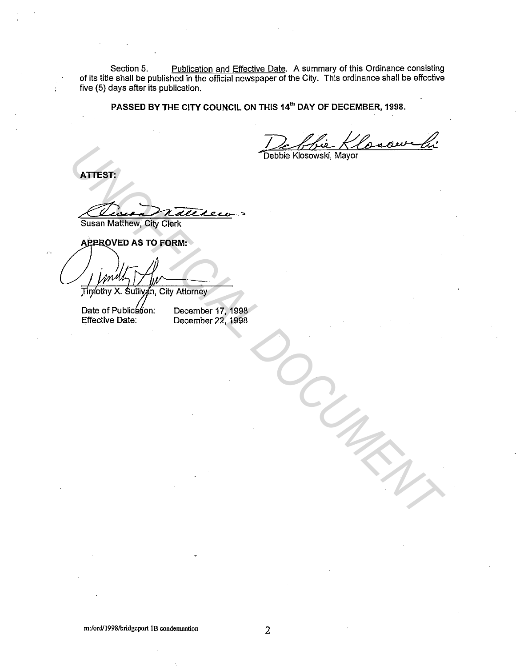Section 5. Publication and Effective Date. A summary of this Ordinance consisting of its title shall be published in the official newspaper of the City. This ordinance shall be effective five (5) days after its publication.

**PASSED BY THE CITY COUNCIL ON THIS 14'" DAY OF DECEMBER, 1998.** 

De blie Klosowski

**ATTEST:** 

Susan Matthew, City Clerk .,

ATTEST:<br>
SUSSIN MARTING CONTROL CONTROL CONTROL CONTROL CONTROL CONTROL CONTROL CONTROL CONTROL CONTROL CONTROL CONTROL CONTROL CONTROL CONTROL CONTROL CONTROL CONTROL CONTROL CONTROL CONTROL CONTROL CONTROL CONTROL CONTRO

Date of Publication: Effective Date:

December 17, 1998 December 22, 1998

**m:/ord/1998/bridgeport lB condemnation**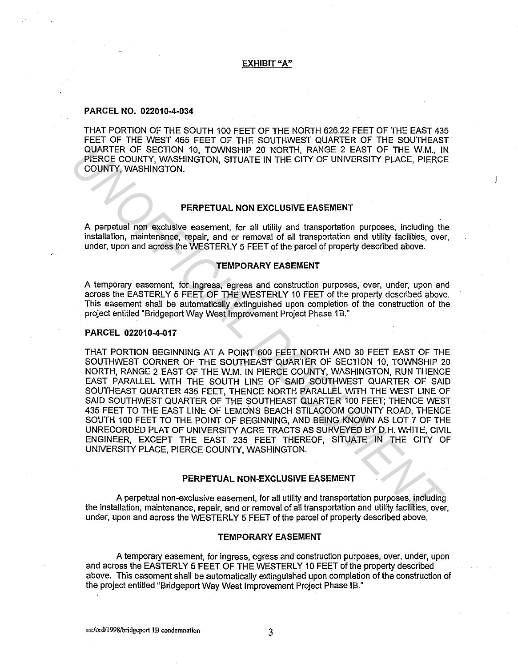#### **EXHIBIT "A"**

# **PARCEL NO. 022010-4-034**

THAT PORTION OF THE SOUTH 100 FEET OF THE NORTH 626.22 FEET OF THE EAST 435 FEET OF THE WEST 465 FEET OF THE SOUTHWEST QUARTER OF THE SOUTHEAST QUARTER OF SECTION 10, TOWNSHIP 20 NORTH, RANGE 2 EAST OF THE W.M., IN PIERCE COUNTY, WASHINGTON, SITUATE IN THE CITY OF UNIVERSITY PLACE, PIERCE COUNTY, WASHINGTON.

# **PERPETUAL NON EXCLUSIVE EASEMENT**

j

A perpetual non exclusive easement, for all utility and transportation purposes, including the installation, maintenance, repair, and or removal of all transportation and utility facilities, over, under, upon and across the WESTERLY 5 FEET of the parcel of property described above.

#### **TEMPORARY EASEMENT**

A temporary easement, for ingress, egress and construction purposes, over, under, upon and across the EASTERLY 5 FEET OF THE WESTERLY 10 FEET of the property described above. This easement shall be automatically extinguished upon completion of the construction of the project entitled "Bridgeport Way West Improvement Project Phase 1B."

#### **PARCEL 022010-4-017**

THAT PORTION BEGINNING AT A POINT 600 FEET NORTH AND 30 FEET EAST OF THE SOUTHWEST CORNER OF THE SOUTHEAST QUARTER OF SECTION 10, TOWNSHIP 20 NORTH, RANGE 2 EAST OF THE W.M. IN PIERCE COUNTY, WASHINGTON, RUN THENCE EAST PARALLEL WITH THE SOUTH LINE OF SAID SOUTHWEST QUARTER OF SAID SOUTHEAST QUARTER 435 FEET, THENCE NORTH PARALLEL WITH THE WEST LINE OF SAID SOUTHWEST QUARTER OF THE SOUTHEAST QUARTER 100 FEET; THENCE WEST 435 FEET TO THE EAST LINE OF LEMONS BEACH STILACOOM COUNTY ROAD, THENCE SOUTH 100 FEET TO THE POINT OF BEGINNING, AND BEING KNOWN AS LOT 7 OF THE UNRECORDED PLAT OF UNIVERSITY ACRE TRACTS AS SURVEYED BY D.H. WHITE, CIVIL ENGINEER, EXCEPT THE EAST 235 FEET THEREOF, SITUATE IN THE CITY OF UNIVERSITY PLACE, PIERCE COUNTY, WASHINGTON. PUARTER OF SECTION 10, TOWNSHIP 20 NORTH, RANGE 2 EAST OF THE W.M., IN<br>
PERCE COUNTY, WASHINGTON, SITUATE IN THE CITY OF UNIVERSITY PLACE, PIERCE<br> *INCRITY, WASHINGTON,* STUATE IN THE CITY OF UNIVERSITY PLACE, PIERCE<br> *INC* 

## **PERPETUAL NON-EXCLUSIVE EASEMENT**

A perpetual non-exclusive easement, for all utility and transportation purposes, including the installation, maintenance, repair, and or removal of all transportation and utility facilities, over, under, upon and across the WESTERLY 5 FEET of the parcel of property described above.

#### **TEMPORARY EASEMENT**

A temporary easement, for ingress, egress and construction purposes, over, under, upon and across the EASTERLY 5 FEET OF THE WESTERLY 10 FEET of the property described above. This easement shall be automatically extinguished upon completion of the construction of the project entitled "Bridgeport Way West Improvement Project Phase IB."